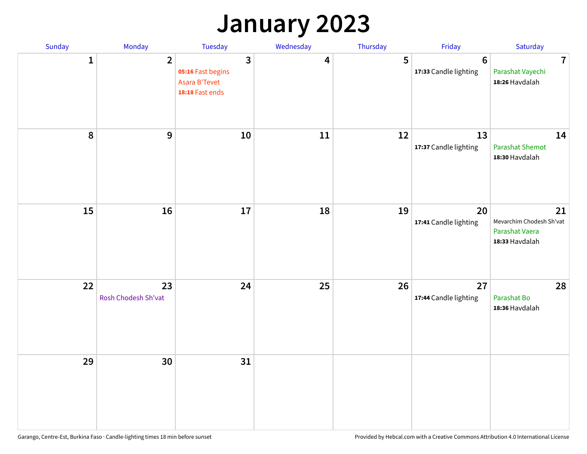### **January 2023**

| Sunday           | Monday                    | Tuesday                                                                          | Wednesday | Thursday | Friday                                   | Saturday                                                           |
|------------------|---------------------------|----------------------------------------------------------------------------------|-----------|----------|------------------------------------------|--------------------------------------------------------------------|
| 1                | $\overline{2}$            | $\overline{\mathbf{3}}$<br>05:16 Fast begins<br>Asara B'Tevet<br>18:18 Fast ends | 4         | 5        | $6\phantom{1}6$<br>17:33 Candle lighting | $\overline{7}$<br>Parashat Vayechi<br>18:26 Havdalah               |
| $\boldsymbol{8}$ | $\mathbf{9}$              | 10                                                                               | 11        | 12       | 13<br>17:37 Candle lighting              | 14<br><b>Parashat Shemot</b><br>18:30 Havdalah                     |
| 15               | 16                        | 17                                                                               | 18        | 19       | 20<br>17:41 Candle lighting              | 21<br>Mevarchim Chodesh Sh'vat<br>Parashat Vaera<br>18:33 Havdalah |
| 22               | 23<br>Rosh Chodesh Sh'vat | 24                                                                               | 25        | 26       | 27<br>17:44 Candle lighting              | 28<br>Parashat Bo<br>18:36 Havdalah                                |
| 29               | 30                        | 31                                                                               |           |          |                                          |                                                                    |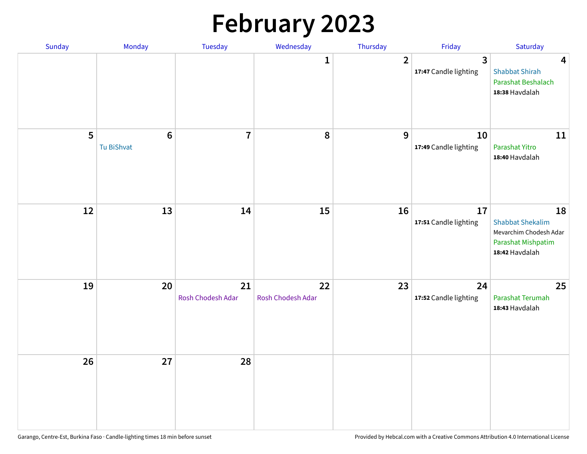# **February 2023**

| Sunday | Monday                        | Tuesday                 | Wednesday               | Thursday       | Friday                                  | Saturday                                                                                        |
|--------|-------------------------------|-------------------------|-------------------------|----------------|-----------------------------------------|-------------------------------------------------------------------------------------------------|
|        |                               |                         | 1                       | $\overline{2}$ | $\overline{3}$<br>17:47 Candle lighting | $\overline{\mathbf{4}}$<br><b>Shabbat Shirah</b><br>Parashat Beshalach<br>18:38 Havdalah        |
| 5      | $6\phantom{1}6$<br>Tu BiShvat | $\overline{7}$          | 8                       | 9              | 10<br>17:49 Candle lighting             | 11<br>Parashat Yitro<br>18:40 Havdalah                                                          |
| 12     | 13                            | 14                      | 15                      | 16             | 17<br>17:51 Candle lighting             | 18<br><b>Shabbat Shekalim</b><br>Mevarchim Chodesh Adar<br>Parashat Mishpatim<br>18:42 Havdalah |
| 19     | 20                            | 21<br>Rosh Chodesh Adar | 22<br>Rosh Chodesh Adar | 23             | 24<br>17:52 Candle lighting             | 25<br>Parashat Terumah<br>18:43 Havdalah                                                        |
| 26     | 27                            | 28                      |                         |                |                                         |                                                                                                 |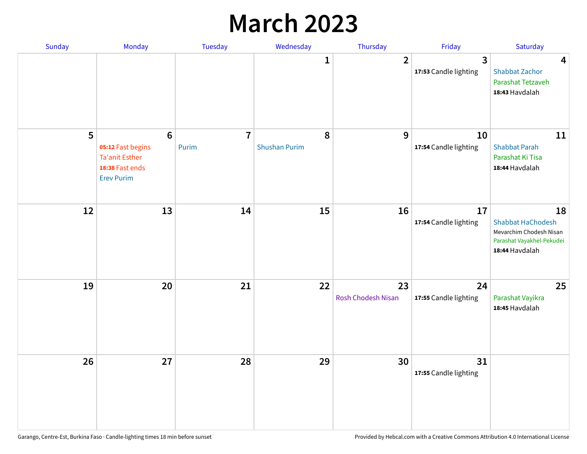### **March 2023**

| Sunday | Monday                                                                                                | Tuesday                 | Wednesday                 | Thursday                        | Friday                      | Saturday                                                                                                 |
|--------|-------------------------------------------------------------------------------------------------------|-------------------------|---------------------------|---------------------------------|-----------------------------|----------------------------------------------------------------------------------------------------------|
|        |                                                                                                       |                         | 1                         | $\overline{2}$                  | 3<br>17:53 Candle lighting  | 4<br><b>Shabbat Zachor</b><br>Parashat Tetzaveh<br>18:43 Havdalah                                        |
| 5      | $6\phantom{1}6$<br>05:12 Fast begins<br><b>Ta'anit Esther</b><br>18:38 Fast ends<br><b>Erev Purim</b> | $\overline{7}$<br>Purim | 8<br><b>Shushan Purim</b> | 9                               | 10<br>17:54 Candle lighting | 11<br><b>Shabbat Parah</b><br>Parashat Ki Tisa<br>18:44 Havdalah                                         |
| 12     | 13                                                                                                    | 14                      | 15                        | 16                              | 17<br>17:54 Candle lighting | 18<br><b>Shabbat HaChodesh</b><br>Mevarchim Chodesh Nisan<br>Parashat Vayakhel-Pekudei<br>18:44 Havdalah |
| 19     | 20                                                                                                    | 21                      | 22                        | 23<br><b>Rosh Chodesh Nisan</b> | 24<br>17:55 Candle lighting | 25<br>Parashat Vayikra<br>18:45 Havdalah                                                                 |
| 26     | 27                                                                                                    | 28                      | 29                        | 30                              | 31<br>17:55 Candle lighting |                                                                                                          |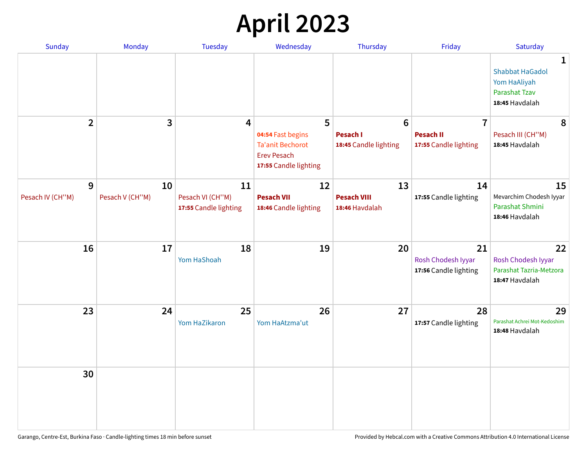## **April 2023**

| <b>Sunday</b>    | <b>Monday</b>   | <b>Tuesday</b>                            | Wednesday                                                                                   | Thursday                                 | Friday                                      | Saturday                                                                              |
|------------------|-----------------|-------------------------------------------|---------------------------------------------------------------------------------------------|------------------------------------------|---------------------------------------------|---------------------------------------------------------------------------------------|
|                  |                 |                                           |                                                                                             |                                          |                                             | 1<br><b>Shabbat HaGadol</b><br>Yom HaAliyah<br><b>Parashat Tzav</b><br>18:45 Havdalah |
| $\overline{2}$   | 3               | 4                                         | 5                                                                                           | $6\phantom{1}6$                          | $\overline{7}$                              | 8                                                                                     |
|                  |                 |                                           | 04:54 Fast begins<br><b>Ta'anit Bechorot</b><br><b>Erev Pesach</b><br>17:55 Candle lighting | <b>Pesach I</b><br>18:45 Candle lighting | <b>Pesach II</b><br>17:55 Candle lighting   | Pesach III (CH"M)<br>18:45 Havdalah                                                   |
| 9                | 10              | 11                                        | 12                                                                                          | 13                                       | 14                                          | 15                                                                                    |
| Pesach IV (CH"M) | Pesach V (CH"M) | Pesach VI (CH"M)<br>17:55 Candle lighting | <b>Pesach VII</b><br>18:46 Candle lighting                                                  | <b>Pesach VIII</b><br>18:46 Havdalah     | 17:55 Candle lighting                       | Mevarchim Chodesh Iyyar<br>Parashat Shmini<br>18:46 Havdalah                          |
| 16               | 17              | 18                                        | 19                                                                                          | 20                                       | 21                                          | 22                                                                                    |
|                  |                 | Yom HaShoah                               |                                                                                             |                                          | Rosh Chodesh Iyyar<br>17:56 Candle lighting | Rosh Chodesh Iyyar<br>Parashat Tazria-Metzora<br>18:47 Havdalah                       |
| 23               | 24              | 25                                        | 26                                                                                          | 27                                       | 28                                          | 29                                                                                    |
|                  |                 | Yom HaZikaron                             | Yom HaAtzma'ut                                                                              |                                          | 17:57 Candle lighting                       | Parashat Achrei Mot-Kedoshim<br>18:48 Havdalah                                        |
| 30               |                 |                                           |                                                                                             |                                          |                                             |                                                                                       |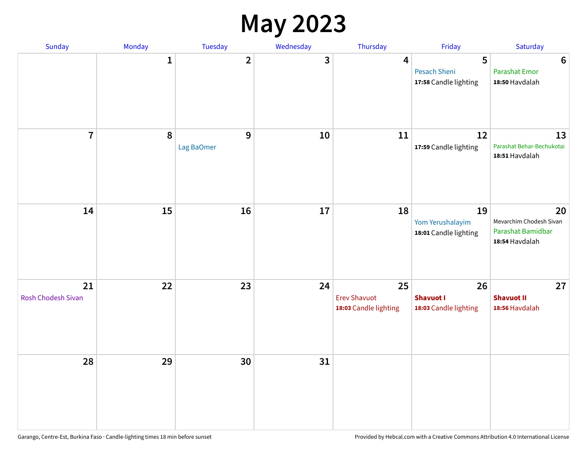#### **May 2023**

| Sunday                          | Monday       | Tuesday                 | Wednesday | Thursday                                           | Friday                                          | Saturday                                                             |
|---------------------------------|--------------|-------------------------|-----------|----------------------------------------------------|-------------------------------------------------|----------------------------------------------------------------------|
|                                 | $\mathbf{1}$ | $\overline{\mathbf{2}}$ | 3         | $\overline{\mathbf{4}}$                            | 5<br>Pesach Sheni<br>17:58 Candle lighting      | $\bf 6$<br><b>Parashat Emor</b><br>18:50 Havdalah                    |
| $\overline{7}$                  | $\pmb{8}$    | $9$<br>Lag BaOmer       | 10        | 11                                                 | 12<br>17:59 Candle lighting                     | 13<br>Parashat Behar-Bechukotai<br>18:51 Havdalah                    |
| 14                              | 15           | 16                      | $17\,$    | 18                                                 | 19<br>Yom Yerushalayim<br>18:01 Candle lighting | 20<br>Mevarchim Chodesh Sivan<br>Parashat Bamidbar<br>18:54 Havdalah |
| 21<br><b>Rosh Chodesh Sivan</b> | 22           | 23                      | 24        | 25<br><b>Erev Shavuot</b><br>18:03 Candle lighting | 26<br><b>Shavuot I</b><br>18:03 Candle lighting | 27<br><b>Shavuot II</b><br>18:56 Havdalah                            |
| 28                              | 29           | 30                      | 31        |                                                    |                                                 |                                                                      |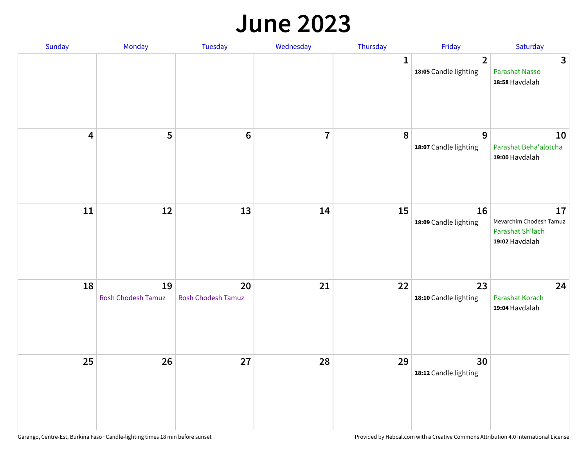#### **June 2023**

| Sunday                  | Monday                   | Tuesday                         | Wednesday      | Thursday     | Friday                                  | Saturday                                                            |
|-------------------------|--------------------------|---------------------------------|----------------|--------------|-----------------------------------------|---------------------------------------------------------------------|
|                         |                          |                                 |                | $\mathbf{1}$ | $\overline{2}$<br>18:05 Candle lighting | $\mathbf{3}$<br>Parashat Nasso<br>18:58 Havdalah                    |
| $\overline{\mathbf{4}}$ | 5                        | $\bf 6$                         | $\overline{7}$ | 8            | 9<br>18:07 Candle lighting              | 10<br>Parashat Beha'alotcha<br>19:00 Havdalah                       |
| $11\,$                  | 12                       | 13                              | 14             | 15           | 16<br>18:09 Candle lighting             | 17<br>Mevarchim Chodesh Tamuz<br>Parashat Sh'lach<br>19:02 Havdalah |
| 18                      | 19<br>Rosh Chodesh Tamuz | 20<br><b>Rosh Chodesh Tamuz</b> | 21             | 22           | 23<br>18:10 Candle lighting             | 24<br>Parashat Korach<br>19:04 Havdalah                             |
| 25                      | 26                       | 27                              | 28             | 29           | 30<br>18:12 Candle lighting             |                                                                     |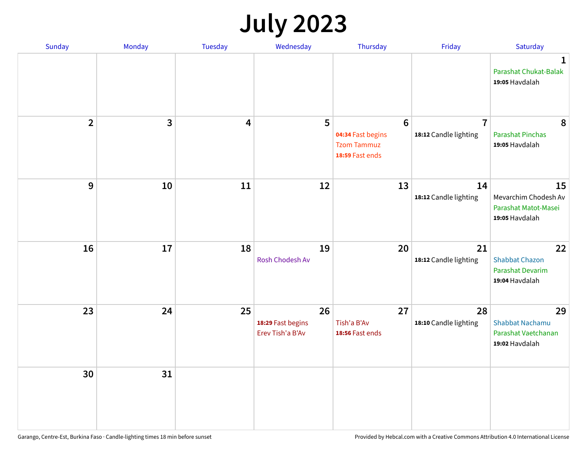## **July 2023**

| Sunday         | Monday       | <b>Tuesday</b> | Wednesday                                   | Thursday                                                                      | Friday                                  | Saturday                                                             |
|----------------|--------------|----------------|---------------------------------------------|-------------------------------------------------------------------------------|-----------------------------------------|----------------------------------------------------------------------|
|                |              |                |                                             |                                                                               |                                         | $\mathbf 1$<br>Parashat Chukat-Balak<br>19:05 Havdalah               |
| $\overline{2}$ | $\mathbf{3}$ | 4              | 5                                           | $6\phantom{1}6$<br>04:34 Fast begins<br><b>Tzom Tammuz</b><br>18:59 Fast ends | $\overline{7}$<br>18:12 Candle lighting | 8<br><b>Parashat Pinchas</b><br>19:05 Havdalah                       |
| 9              | 10           | 11             | 12                                          | 13                                                                            | 14<br>18:12 Candle lighting             | 15<br>Mevarchim Chodesh Av<br>Parashat Matot-Masei<br>19:05 Havdalah |
| 16             | 17           | 18             | 19<br>Rosh Chodesh Av                       | 20                                                                            | 21<br>18:12 Candle lighting             | 22<br><b>Shabbat Chazon</b><br>Parashat Devarim<br>19:04 Havdalah    |
| 23             | 24           | 25             | 26<br>18:29 Fast begins<br>Erev Tish'a B'Av | 27<br>Tish'a B'Av<br>18:56 Fast ends                                          | 28<br>18:10 Candle lighting             | 29<br>Shabbat Nachamu<br>Parashat Vaetchanan<br>19:02 Havdalah       |
| 30             | 31           |                |                                             |                                                                               |                                         |                                                                      |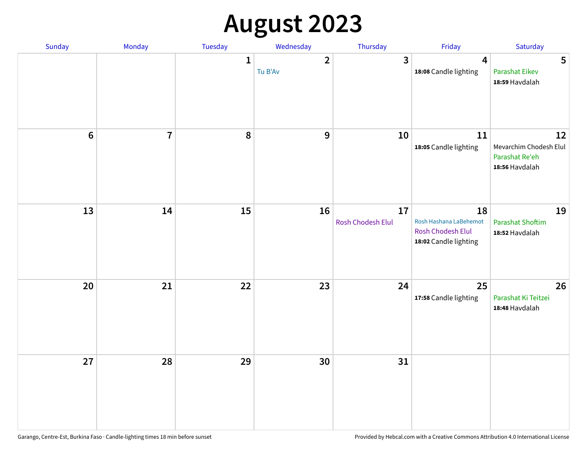# **August 2023**

| Sunday         | Monday         | Tuesday      | Wednesday               | Thursday                | Friday                                                                     | Saturday                                                         |
|----------------|----------------|--------------|-------------------------|-------------------------|----------------------------------------------------------------------------|------------------------------------------------------------------|
|                |                | $\mathbf{1}$ | $\mathbf{2}$<br>Tu B'Av | $\overline{3}$          | 4<br>18:08 Candle lighting                                                 | 5<br><b>Parashat Eikev</b><br>18:59 Havdalah                     |
| $6\phantom{1}$ | $\overline{7}$ | 8            | $\mathbf{9}$            | 10                      | 11<br>18:05 Candle lighting                                                | 12<br>Mevarchim Chodesh Elul<br>Parashat Re'eh<br>18:56 Havdalah |
| 13             | 14             | 15           | 16                      | 17<br>Rosh Chodesh Elul | 18<br>Rosh Hashana LaBehemot<br>Rosh Chodesh Elul<br>18:02 Candle lighting | 19<br><b>Parashat Shoftim</b><br>18:52 Havdalah                  |
| 20             | 21             | 22           | 23                      | 24                      | 25<br>17:58 Candle lighting                                                | 26<br>Parashat Ki Teitzei<br>18:48 Havdalah                      |
| 27             | 28             | 29           | 30                      | 31                      |                                                                            |                                                                  |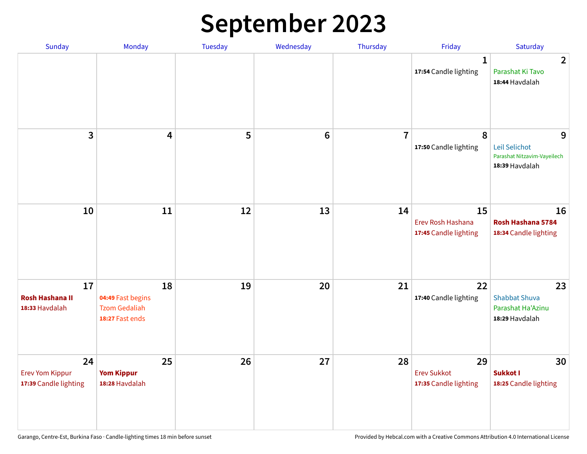## **September 2023**

| Sunday                                                | Monday                                                             | <b>Tuesday</b> | Wednesday      | Thursday       | Friday                                            | Saturday                                                            |
|-------------------------------------------------------|--------------------------------------------------------------------|----------------|----------------|----------------|---------------------------------------------------|---------------------------------------------------------------------|
|                                                       |                                                                    |                |                |                | 1<br>17:54 Candle lighting                        | $\overline{2}$<br>Parashat Ki Tavo<br>18:44 Havdalah                |
| 3                                                     | $\overline{\mathbf{4}}$                                            | 5              | $6\phantom{1}$ | $\overline{7}$ | 8<br>17:50 Candle lighting                        | 9<br>Leil Selichot<br>Parashat Nitzavim-Vayeilech<br>18:39 Havdalah |
| 10                                                    | 11                                                                 | 12             | 13             | 14             | 15<br>Erev Rosh Hashana<br>17:45 Candle lighting  | 16<br>Rosh Hashana 5784<br>18:34 Candle lighting                    |
| 17<br><b>Rosh Hashana II</b><br>18:33 Havdalah        | 18<br>04:49 Fast begins<br><b>Tzom Gedaliah</b><br>18:27 Fast ends | 19             | 20             | 21             | 22<br>17:40 Candle lighting                       | 23<br><b>Shabbat Shuva</b><br>Parashat Ha'Azinu<br>18:29 Havdalah   |
| 24<br><b>Erev Yom Kippur</b><br>17:39 Candle lighting | 25<br><b>Yom Kippur</b><br>18:28 Havdalah                          | 26             | 27             | 28             | 29<br><b>Erev Sukkot</b><br>17:35 Candle lighting | 30<br>Sukkot I<br>18:25 Candle lighting                             |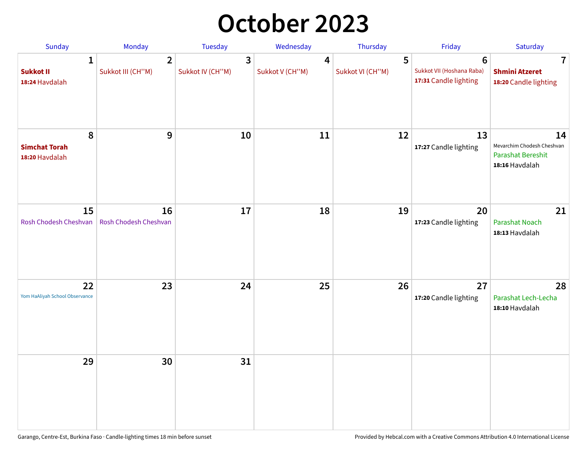## **October 2023**

| Sunday                                             | <b>Monday</b>                       | <b>Tuesday</b>        | Wednesday            | Thursday              | Friday                                                               | Saturday                                                                |
|----------------------------------------------------|-------------------------------------|-----------------------|----------------------|-----------------------|----------------------------------------------------------------------|-------------------------------------------------------------------------|
| $\mathbf{1}$<br><b>Sukkot II</b><br>18:24 Havdalah | $\overline{2}$<br>Sukkot III (CH"M) | 3<br>Sukkot IV (CH"M) | 4<br>Sukkot V (CH"M) | 5<br>Sukkot VI (CH"M) | $6\phantom{1}$<br>Sukkot VII (Hoshana Raba)<br>17:31 Candle lighting | 7<br><b>Shmini Atzeret</b><br>18:20 Candle lighting                     |
| 8<br><b>Simchat Torah</b><br>18:20 Havdalah        | 9                                   | 10                    | 11                   | 12                    | 13<br>17:27 Candle lighting                                          | 14<br>Mevarchim Chodesh Cheshvan<br>Parashat Bereshit<br>18:16 Havdalah |
| 15<br>Rosh Chodesh Cheshvan                        | 16<br>Rosh Chodesh Cheshvan         | 17                    | 18                   | 19                    | 20<br>17:23 Candle lighting                                          | 21<br>Parashat Noach<br>18:13 Havdalah                                  |
| 22<br>Yom HaAliyah School Observance               | 23                                  | 24                    | 25                   | 26                    | 27<br>17:20 Candle lighting                                          | 28<br>Parashat Lech-Lecha<br>18:10 Havdalah                             |
| 29                                                 | 30                                  | 31                    |                      |                       |                                                                      |                                                                         |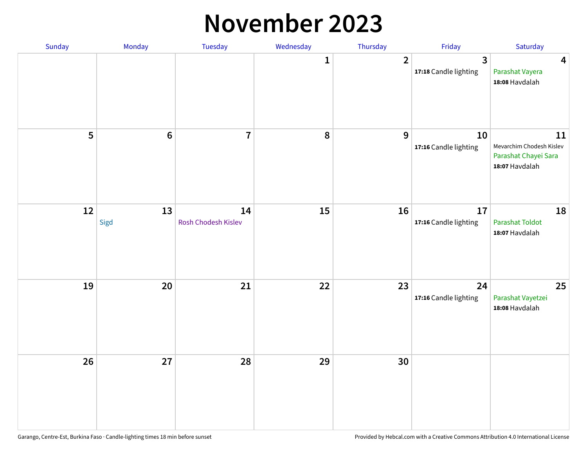#### **November 2023**

| Sunday | Monday     | Tuesday                   | Wednesday    | Thursday       | Friday                                  | Saturday                                                                 |
|--------|------------|---------------------------|--------------|----------------|-----------------------------------------|--------------------------------------------------------------------------|
|        |            |                           | $\mathbf{1}$ | $\overline{2}$ | $\overline{3}$<br>17:18 Candle lighting | $\overline{\mathbf{4}}$<br>Parashat Vayera<br>18:08 Havdalah             |
| 5      | $\bf 6$    | $\overline{7}$            | ${\bf 8}$    | 9              | 10<br>17:16 Candle lighting             | 11<br>Mevarchim Chodesh Kislev<br>Parashat Chayei Sara<br>18:07 Havdalah |
| 12     | 13<br>Sigd | 14<br>Rosh Chodesh Kislev | 15           | 16             | 17<br>17:16 Candle lighting             | 18<br>Parashat Toldot<br>18:07 Havdalah                                  |
| 19     | 20         | 21                        | 22           | 23             | 24<br>17:16 Candle lighting             | 25<br>Parashat Vayetzei<br>18:08 Havdalah                                |
| 26     | 27         | 28                        | 29           | 30             |                                         |                                                                          |